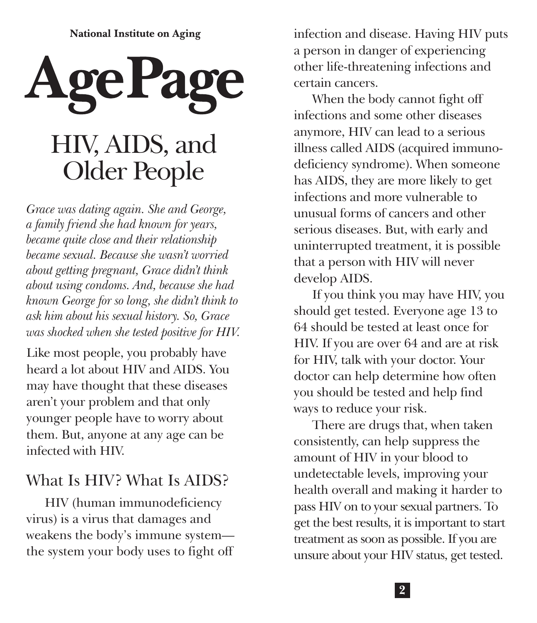**National Institute on Aging** 



*Grace was dating again. She and George, a family friend she had known for years, became quite close and their relationship became sexual. Because she wasn't worried about getting pregnant, Grace didn't think about using condoms. And, because she had known George for so long, she didn't think to ask him about his sexual history. So, Grace was shocked when she tested positive for HIV.* 

Like most people, you probably have heard a lot about HIV and AIDS. You may have thought that these diseases aren't your problem and that only younger people have to worry about them. But, anyone at any age can be infected with HIV.

### What Is HIV? What Is AIDS?

HIV (human immunodeficiency virus) is a virus that damages and weakens the body's immune system the system your body uses to fight off

infection and disease. Having HIV puts a person in danger of experiencing other life-threatening infections and certain cancers.

When the body cannot fight off infections and some other diseases anymore, HIV can lead to a serious illness called AIDS (acquired immunodeficiency syndrome). When someone has AIDS, they are more likely to get infections and more vulnerable to unusual forms of cancers and other serious diseases. But, with early and uninterrupted treatment, it is possible that a person with HIV will never develop AIDS.

If you think you may have HIV, you should get tested. Everyone age 13 to 64 should be tested at least once for HIV. If you are over 64 and are at risk for HIV, talk with your doctor. Your doctor can help determine how often you should be tested and help find ways to reduce your risk.

There are drugs that, when taken consistently, can help suppress the amount of HIV in your blood to undetectable levels, improving your health overall and making it harder to pass HIV on to your sexual partners. To get the best results, it is important to start treatment as soon as possible. If you are unsure about your HIV status, get tested.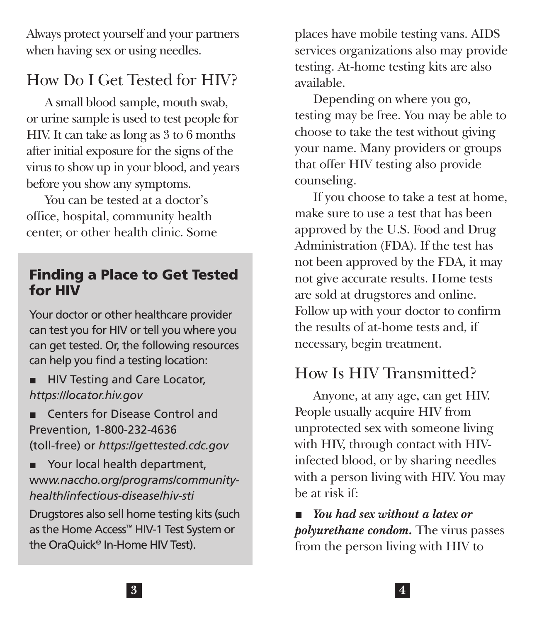Always protect yourself and your partners when having sex or using needles.

### How Do I Get Tested for HIV?

A small blood sample, mouth swab, or urine sample is used to test people for HIV. It can take as long as 3 to 6 months after initial exposure for the signs of the virus to show up in your blood, and years before you show any symptoms.

You can be tested at a doctor's office, hospital, community health center, or other health clinic. Some

#### Finding a Place to Get Tested for HIV

Your doctor or other healthcare provider can test you for HIV or tell you where you can get tested. Or, the following resources can help you find a testing location:

- HIV Testing and Care Locator, *<https://locator.hiv.gov>*
- Centers for Disease Control and Prevention, 1-800-232-4636 (toll-free) or *[https://gettested.cdc.gov](http://gettested.cdc.gov/)*
- Your local health department, ww*[w.naccho.org/programs/community](http://www.naccho.org/programs/community-health/infectious-disease/hiv-sti)[health/infectious-disease/hiv-sti](http://www.naccho.org/programs/community-health/infectious-disease/hiv-sti)*

Drugstores also sell home testing kits (such as the Home Access™ HIV-1 Test System or the OraQuick® In-Home HIV Test).

places have mobile testing vans. AIDS services organizations also may provide testing. At-home testing kits are also available.

Depending on where you go, testing may be free. You may be able to choose to take the test without giving your name. Many providers or groups that offer HIV testing also provide counseling.

If you choose to take a test at home, make sure to use a test that has been approved by the U.S. Food and Drug Administration (FDA). If the test has not been approved by the FDA, it may not give accurate results. Home tests are sold at drugstores and online. Follow up with your doctor to confirm the results of at-home tests and, if necessary, begin treatment.

## How Is HIV Transmitted?

Anyone, at any age, can get HIV. People usually acquire HIV from unprotected sex with someone living with HIV, through contact with HIVinfected blood, or by sharing needles with a person living with HIV. You may be at risk if:

■ *You had sex without a latex or polyurethane condom.* The virus passes from the person living with HIV to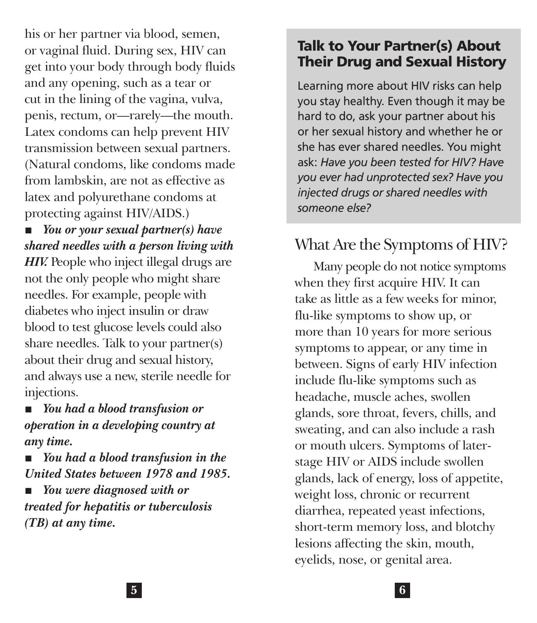his or her partner via blood, semen, or vaginal fluid. During sex, HIV can get into your body through body fluids and any opening, such as a tear or cut in the lining of the vagina, vulva, penis, rectum, or—rarely—the mouth. Latex condoms can help prevent HIV transmission between sexual partners. (Natural condoms, like condoms made from lambskin, are not as effective as latex and polyurethane condoms at protecting against HIV/AIDS.)

■ *You or your sexual partner(s) have shared needles with a person living with*  **HIV.** People who inject illegal drugs are not the only people who might share needles. For example, people with diabetes who inject insulin or draw blood to test glucose levels could also share needles. Talk to your partner(s) about their drug and sexual history, and always use a new, sterile needle for injections.

■ *You had a blood transfusion or operation in a developing country at any time.* 

■ *You had a blood transfusion in the United States between 1978 and 1985.* 

■ *You were diagnosed with or treated for hepatitis or tuberculosis (TB) at any time.* 

#### Talk to Your Partner(s) About Their Drug and Sexual History

Learning more about HIV risks can help you stay healthy. Even though it may be hard to do, ask your partner about his or her sexual history and whether he or she has ever shared needles. You might ask: *Have you been tested for HIV? Have you ever had unprotected sex? Have you injected drugs or shared needles with someone else?* 

# What Are the Symptoms of HIV?

Many people do not notice symptoms when they first acquire HIV. It can take as little as a few weeks for minor, flu-like symptoms to show up, or more than 10 years for more serious symptoms to appear, or any time in between. Signs of early HIV infection include flu-like symptoms such as headache, muscle aches, swollen glands, sore throat, fevers, chills, and sweating, and can also include a rash or mouth ulcers. Symptoms of laterstage HIV or AIDS include swollen glands, lack of energy, loss of appetite, weight loss, chronic or recurrent diarrhea, repeated yeast infections, short-term memory loss, and blotchy lesions affecting the skin, mouth, eyelids, nose, or genital area.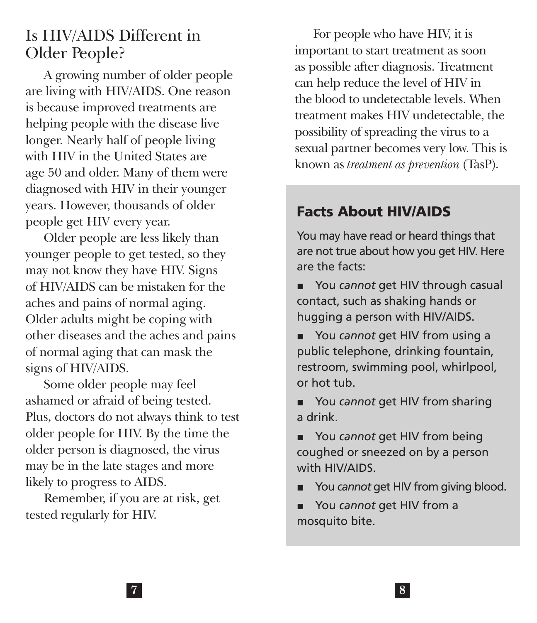#### Is HIV/AIDS Different in Older People?

A growing number of older people are living with HIV/AIDS. One reason is because improved treatments are helping people with the disease live longer. Nearly half of people living with HIV in the United States are age 50 and older. Many of them were diagnosed with HIV in their younger years. However, thousands of older people get HIV every year.

Older people are less likely than younger people to get tested, so they may not know they have HIV. Signs of HIV/AIDS can be mistaken for the aches and pains of normal aging. Older adults might be coping with other diseases and the aches and pains of normal aging that can mask the signs of HIV/AIDS.

Some older people may feel ashamed or afraid of being tested. Plus, doctors do not always think to test older people for HIV. By the time the older person is diagnosed, the virus may be in the late stages and more likely to progress to AIDS.

Remember, if you are at risk, get tested regularly for HIV.

For people who have HIV, it is important to start treatment as soon as possible after diagnosis. Treatment can help reduce the level of HIV in the blood to undetectable levels. When treatment makes HIV undetectable, the possibility of spreading the virus to a sexual partner becomes very low. This is known as *treatment as prevention* (TasP).

## Facts About HIV/AIDS

You may have read or heard things that are not true about how you get HIV. Here are the facts:

- You *cannot* get HIV through casual contact, such as shaking hands or hugging a person with HIV/AIDS.
- You *cannot* get HIV from using a public telephone, drinking fountain, restroom, swimming pool, whirlpool, or hot tub.
- You *cannot* get HIV from sharing a drink.
- You *cannot* get HIV from being coughed or sneezed on by a person with HIV/AIDS.
- You *cannot* get HIV from giving blood.
- You *cannot* get HIV from a mosquito bite.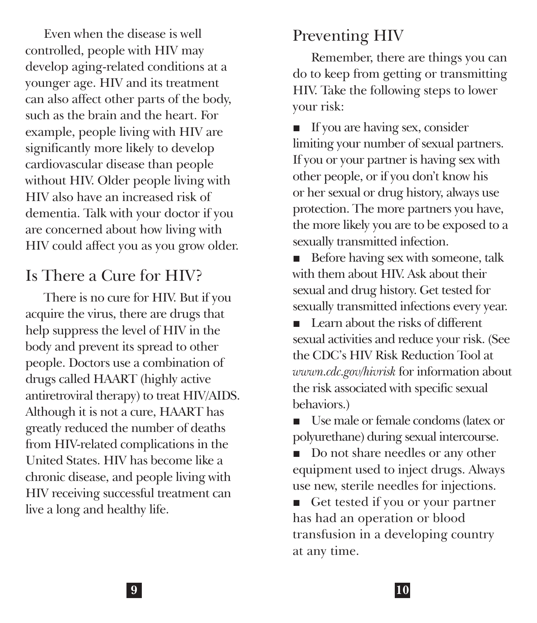Even when the disease is well controlled, people with HIV may develop aging-related conditions at a younger age. HIV and its treatment can also affect other parts of the body, such as the brain and the heart. For example, people living with HIV are significantly more likely to develop cardiovascular disease than people without HIV. Older people living with HIV also have an increased risk of dementia. Talk with your doctor if you are concerned about how living with HIV could affect you as you grow older.

## Is There a Cure for HIV?

There is no cure for HIV. But if you acquire the virus, there are drugs that help suppress the level of HIV in the body and prevent its spread to other people. Doctors use a combination of drugs called HAART (highly active antiretroviral therapy) to treat HIV/AIDS. Although it is not a cure, HAART has greatly reduced the number of deaths from HIV-related complications in the United States. HIV has become like a chronic disease, and people living with HIV receiving successful treatment can live a long and healthy life.

## Preventing HIV

Remember, there are things you can do to keep from getting or transmitting HIV. Take the following steps to lower your risk:

■ If you are having sex, consider limiting your number of sexual partners. If you or your partner is having sex with other people, or if you don't know his or her sexual or drug history, always use protection. The more partners you have, the more likely you are to be exposed to a sexually transmitted infection.

■ Before having sex with someone, talk with them about HIV. Ask about their sexual and drug history. Get tested for sexually transmitted infections every year.

■ Learn about the risks of different sexual activities and reduce your risk. (See the CDC's HIV Risk Reduction Tool at *<wwwn.cdc.gov/hivrisk>* for information about the risk associated with specific sexual behaviors.)

■ Use male or female condoms (latex or polyurethane) during sexual intercourse.

■ Do not share needles or any other equipment used to inject drugs. Always use new, sterile needles for injections.

■ Get tested if you or your partner has had an operation or blood transfusion in a developing country at any time.

I **9 10**